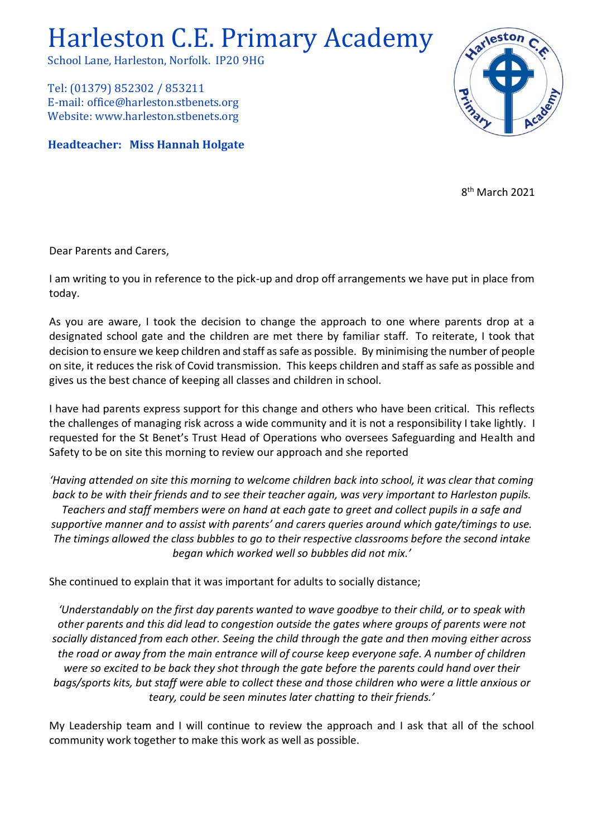## Harleston C.E. Primary Academy

School Lane, Harleston, Norfolk. IP20 9HG

Tel: (01379) 852302 / 853211 E-mail: office@harleston.stbenets.org Website: www.harleston.stbenets.org

**Headteacher: Miss Hannah Holgate**



8<sup>th</sup> March 2021

Dear Parents and Carers,

I am writing to you in reference to the pick-up and drop off arrangements we have put in place from today.

As you are aware, I took the decision to change the approach to one where parents drop at a designated school gate and the children are met there by familiar staff. To reiterate, I took that decision to ensure we keep children and staff as safe as possible. By minimising the number of people on site, it reduces the risk of Covid transmission. This keeps children and staff as safe as possible and gives us the best chance of keeping all classes and children in school.

I have had parents express support for this change and others who have been critical. This reflects the challenges of managing risk across a wide community and it is not a responsibility I take lightly. I requested for the St Benet's Trust Head of Operations who oversees Safeguarding and Health and Safety to be on site this morning to review our approach and she reported

*'Having attended on site this morning to welcome children back into school, it was clear that coming back to be with their friends and to see their teacher again, was very important to Harleston pupils. Teachers and staff members were on hand at each gate to greet and collect pupils in a safe and supportive manner and to assist with parents' and carers queries around which gate/timings to use. The timings allowed the class bubbles to go to their respective classrooms before the second intake began which worked well so bubbles did not mix.'*

She continued to explain that it was important for adults to socially distance;

*'Understandably on the first day parents wanted to wave goodbye to their child, or to speak with other parents and this did lead to congestion outside the gates where groups of parents were not socially distanced from each other. Seeing the child through the gate and then moving either across the road or away from the main entrance will of course keep everyone safe. A number of children were so excited to be back they shot through the gate before the parents could hand over their bags/sports kits, but staff were able to collect these and those children who were a little anxious or teary, could be seen minutes later chatting to their friends.'*

My Leadership team and I will continue to review the approach and I ask that all of the school community work together to make this work as well as possible.